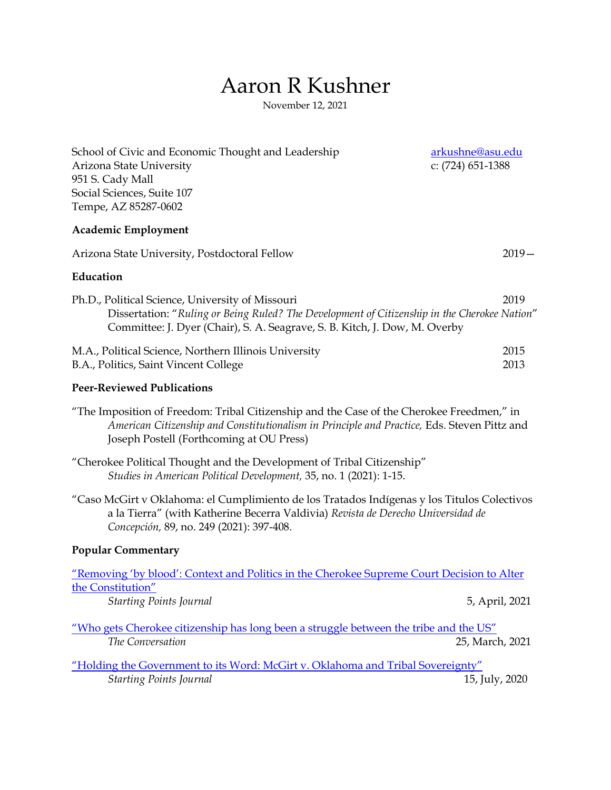# Aaron R Kushner

November 12, 2021

| School of Civic and Economic Thought and Leadership<br>Arizona State University<br>951 S. Cady Mall<br>Social Sciences, Suite 107<br>Tempe, AZ 85287-0602                                                                            | arkushne@asu.edu<br>c: (724) 651-1388 |
|--------------------------------------------------------------------------------------------------------------------------------------------------------------------------------------------------------------------------------------|---------------------------------------|
| <b>Academic Employment</b>                                                                                                                                                                                                           |                                       |
| Arizona State University, Postdoctoral Fellow                                                                                                                                                                                        | $2019 -$                              |
| Education                                                                                                                                                                                                                            |                                       |
| Ph.D., Political Science, University of Missouri<br>Dissertation: "Ruling or Being Ruled? The Development of Citizenship in the Cherokee Nation"<br>Committee: J. Dyer (Chair), S. A. Seagrave, S. B. Kitch, J. Dow, M. Overby       | 2019                                  |
| M.A., Political Science, Northern Illinois University<br>B.A., Politics, Saint Vincent College                                                                                                                                       | 2015<br>2013                          |
| <b>Peer-Reviewed Publications</b>                                                                                                                                                                                                    |                                       |
| "The Imposition of Freedom: Tribal Citizenship and the Case of the Cherokee Freedmen," in<br>American Citizenship and Constitutionalism in Principle and Practice, Eds. Steven Pittz and<br>Joseph Postell (Forthcoming at OU Press) |                                       |
| "Cherokee Political Thought and the Development of Tribal Citizenship"<br>Studies in American Political Development, 35, no. 1 (2021): 1-15.                                                                                         |                                       |
| "Caso McGirt v Oklahoma: el Cumplimiento de los Tratados Indígenas y los Titulos Colectivos<br>a la Tierra" (with Katherine Becerra Valdivia) Revista de Derecho Universidad de<br>Concepción, 89, no. 249 (2021): 397-408.          |                                       |
| <b>Popular Commentary</b>                                                                                                                                                                                                            |                                       |
| <u>"Removing 'by blood': Context and Politics in the Cherokee Supreme Court Decision to Alter</u><br>the Constitution"                                                                                                               |                                       |
| <b>Starting Points Journal</b>                                                                                                                                                                                                       | 5, April, 2021                        |
| "Who gets Cherokee citizenship has long been a struggle between the tribe and the US"<br>The Conversation                                                                                                                            | 25, March, 2021                       |
| "Holding the Government to its Word: McGirt v. Oklahoma and Tribal Sovereignty"<br><b>Starting Points Journal</b>                                                                                                                    | 15, July, 2020                        |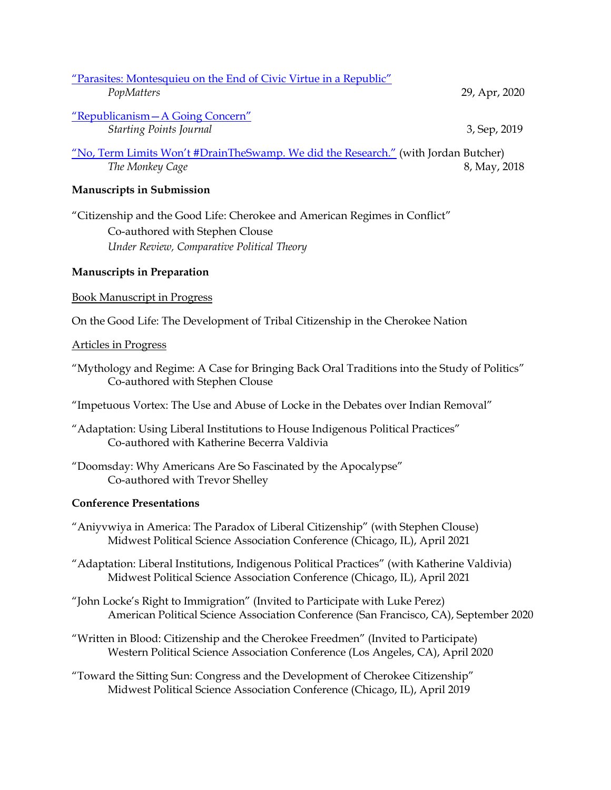| "Parasites: Montesquieu on the End of Civic Virtue in a Republic"                                     |               |
|-------------------------------------------------------------------------------------------------------|---------------|
| PopMatters                                                                                            | 29, Apr, 2020 |
| "Republicanism - A Going Concern"                                                                     |               |
| <b>Starting Points Journal</b>                                                                        | 3, Sep, 2019  |
| "No, Term Limits Won't #DrainTheSwamp. We did the Research." (with Jordan Butcher)<br>The Monkey Cage | 8, May, 2018  |
| <b>Manuscripts in Submission</b>                                                                      |               |
| "Citizenship and the Good Life: Cherokee and American Regimes in Conflict"                            |               |

Co-authored with Stephen Clouse *Under Review, Comparative Political Theory*

## **Manuscripts in Preparation**

#### Book Manuscript in Progress

On the Good Life: The Development of Tribal Citizenship in the Cherokee Nation

#### Articles in Progress

- "Mythology and Regime: A Case for Bringing Back Oral Traditions into the Study of Politics" Co-authored with Stephen Clouse
- "Impetuous Vortex: The Use and Abuse of Locke in the Debates over Indian Removal"
- "Adaptation: Using Liberal Institutions to House Indigenous Political Practices" Co-authored with Katherine Becerra Valdivia
- "Doomsday: Why Americans Are So Fascinated by the Apocalypse" Co-authored with Trevor Shelley

#### **Conference Presentations**

- "Aniyvwiya in America: The Paradox of Liberal Citizenship" (with Stephen Clouse) Midwest Political Science Association Conference (Chicago, IL), April 2021
- "Adaptation: Liberal Institutions, Indigenous Political Practices" (with Katherine Valdivia) Midwest Political Science Association Conference (Chicago, IL), April 2021
- "John Locke's Right to Immigration" (Invited to Participate with Luke Perez) American Political Science Association Conference (San Francisco, CA), September 2020
- "Written in Blood: Citizenship and the Cherokee Freedmen" (Invited to Participate) Western Political Science Association Conference (Los Angeles, CA), April 2020
- "Toward the Sitting Sun: Congress and the Development of Cherokee Citizenship" Midwest Political Science Association Conference (Chicago, IL), April 2019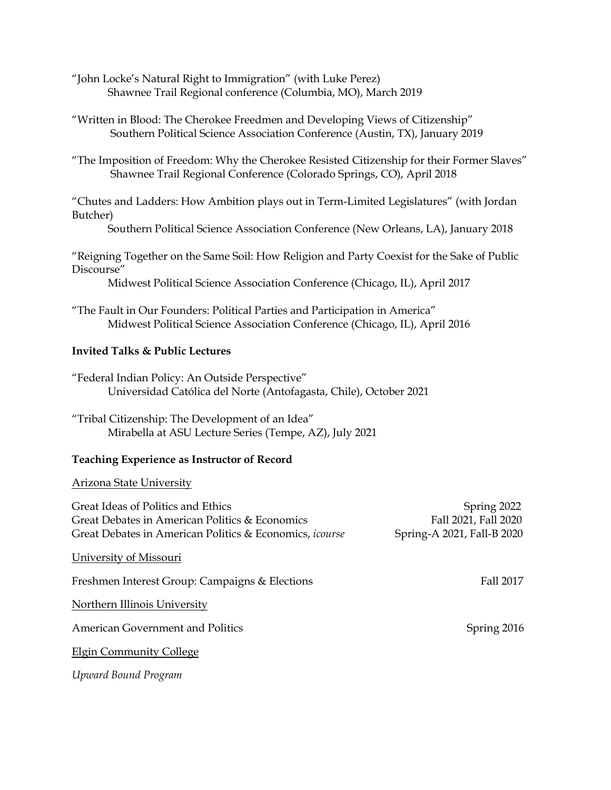"John Locke's Natural Right to Immigration" (with Luke Perez) Shawnee Trail Regional conference (Columbia, MO), March 2019

"Written in Blood: The Cherokee Freedmen and Developing Views of Citizenship" Southern Political Science Association Conference (Austin, TX), January 2019

"The Imposition of Freedom: Why the Cherokee Resisted Citizenship for their Former Slaves" Shawnee Trail Regional Conference (Colorado Springs, CO), April 2018

"Chutes and Ladders: How Ambition plays out in Term-Limited Legislatures" (with Jordan Butcher)

Southern Political Science Association Conference (New Orleans, LA), January 2018

"Reigning Together on the Same Soil: How Religion and Party Coexist for the Sake of Public Discourse"

Midwest Political Science Association Conference (Chicago, IL), April 2017

"The Fault in Our Founders: Political Parties and Participation in America" Midwest Political Science Association Conference (Chicago, IL), April 2016

## **Invited Talks & Public Lectures**

"Federal Indian Policy: An Outside Perspective" Universidad Católica del Norte (Antofagasta, Chile), October 2021

"Tribal Citizenship: The Development of an Idea" Mirabella at ASU Lecture Series (Tempe, AZ), July 2021

## **Teaching Experience as Instructor of Record**

## Arizona State University

| Great Ideas of Politics and Ethics<br>Great Debates in American Politics & Economics<br>Great Debates in American Politics & Economics, <i>icourse</i> | Spring 2022<br>Fall 2021, Fall 2020<br>Spring-A 2021, Fall-B 2020 |
|--------------------------------------------------------------------------------------------------------------------------------------------------------|-------------------------------------------------------------------|
| University of Missouri                                                                                                                                 |                                                                   |
| Freshmen Interest Group: Campaigns & Elections                                                                                                         | Fall 2017                                                         |
| Northern Illinois University                                                                                                                           |                                                                   |
| American Government and Politics                                                                                                                       | Spring 2016                                                       |
| <b>Elgin Community College</b>                                                                                                                         |                                                                   |
| Upward Bound Program                                                                                                                                   |                                                                   |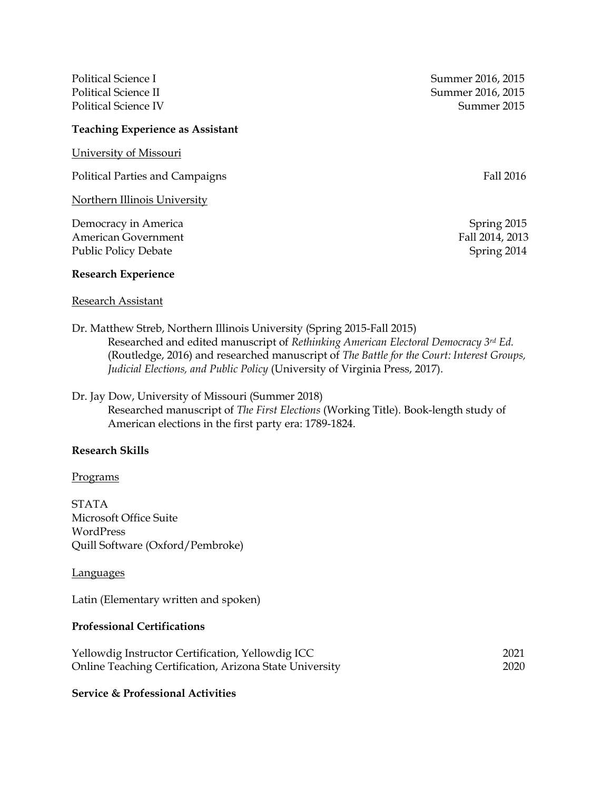#### **Teaching Experience as Assistant**

University of Missouri

Political Parties and Campaigns Fall 2016

Northern Illinois University

Democracy in America **Spring 2015** American Government Fall 2014, 2013 Public Policy Debate Spring 2014

#### **Research Experience**

#### Research Assistant

Political Science I Summer 2016, 2015 Political Science II Summer 2016, 2015 Political Science IV Summer 2015

Dr. Matthew Streb, Northern Illinois University (Spring 2015-Fall 2015) Researched and edited manuscript of *Rethinking American Electoral Democracy 3rd Ed.* (Routledge, 2016) and researched manuscript of *The Battle for the Court: Interest Groups, Judicial Elections, and Public Policy* (University of Virginia Press, 2017).

# Dr. Jay Dow, University of Missouri (Summer 2018) Researched manuscript of *The First Elections* (Working Title). Book-length study of American elections in the first party era: 1789-1824.

## **Research Skills**

#### Programs

STATA Microsoft Office Suite WordPress Quill Software (Oxford/Pembroke)

#### Languages

Latin (Elementary written and spoken)

## **Professional Certifications**

| Yellowdig Instructor Certification, Yellowdig ICC       | 2021 |
|---------------------------------------------------------|------|
| Online Teaching Certification, Arizona State University | 2020 |

#### **Service & Professional Activities**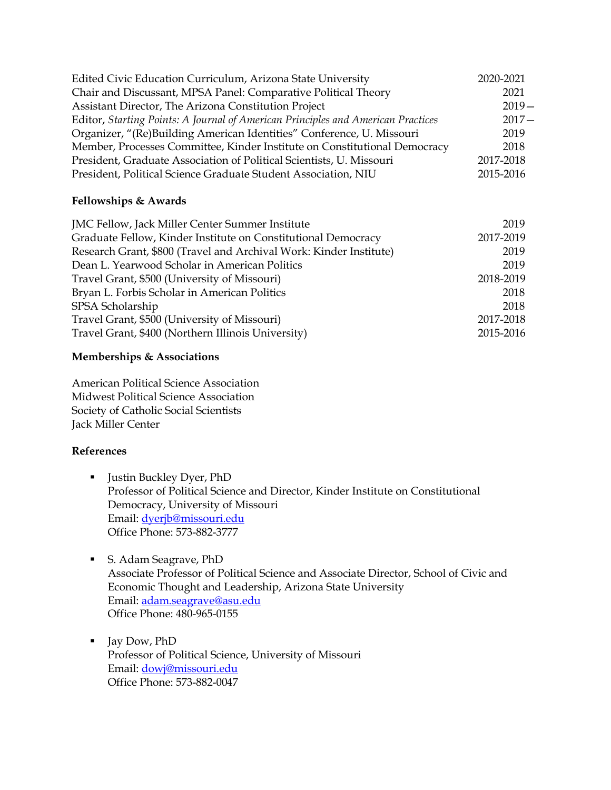| Edited Civic Education Curriculum, Arizona State University                      | 2020-2021 |
|----------------------------------------------------------------------------------|-----------|
| Chair and Discussant, MPSA Panel: Comparative Political Theory                   | 2021      |
| Assistant Director, The Arizona Constitution Project                             | $2019-$   |
| Editor, Starting Points: A Journal of American Principles and American Practices | $2017 -$  |
| Organizer, "(Re)Building American Identities" Conference, U. Missouri            | 2019      |
| Member, Processes Committee, Kinder Institute on Constitutional Democracy        | 2018      |
| President, Graduate Association of Political Scientists, U. Missouri             | 2017-2018 |
| President, Political Science Graduate Student Association, NIU                   | 2015-2016 |

# **Fellowships & Awards**

| JMC Fellow, Jack Miller Center Summer Institute                    | 2019      |
|--------------------------------------------------------------------|-----------|
| Graduate Fellow, Kinder Institute on Constitutional Democracy      | 2017-2019 |
| Research Grant, \$800 (Travel and Archival Work: Kinder Institute) | 2019      |
| Dean L. Yearwood Scholar in American Politics                      | 2019      |
| Travel Grant, \$500 (University of Missouri)                       | 2018-2019 |
| Bryan L. Forbis Scholar in American Politics                       | 2018      |
| SPSA Scholarship                                                   | 2018      |
| Travel Grant, \$500 (University of Missouri)                       | 2017-2018 |
| Travel Grant, \$400 (Northern Illinois University)                 | 2015-2016 |

# **Memberships & Associations**

American Political Science Association Midwest Political Science Association Society of Catholic Social Scientists Jack Miller Center

# **References**

- Justin Buckley Dyer, PhD Professor of Political Science and Director, Kinder Institute on Constitutional Democracy, University of Missouri Email: [dyerjb@missouri.edu](mailto:dyerjb@missouri.edu) Office Phone: 573-882-3777
- S. Adam Seagrave, PhD Associate Professor of Political Science and Associate Director, School of Civic and Economic Thought and Leadership, Arizona State University Email: [adam.seagrave@asu.edu](mailto:adam.seagrave@asu.edu) Office Phone: 480-965-0155
- Jay Dow, PhD Professor of Political Science, University of Missouri Email: [dowj@missouri.edu](mailto:dowj@missouri.edu) Office Phone: 573-882-0047